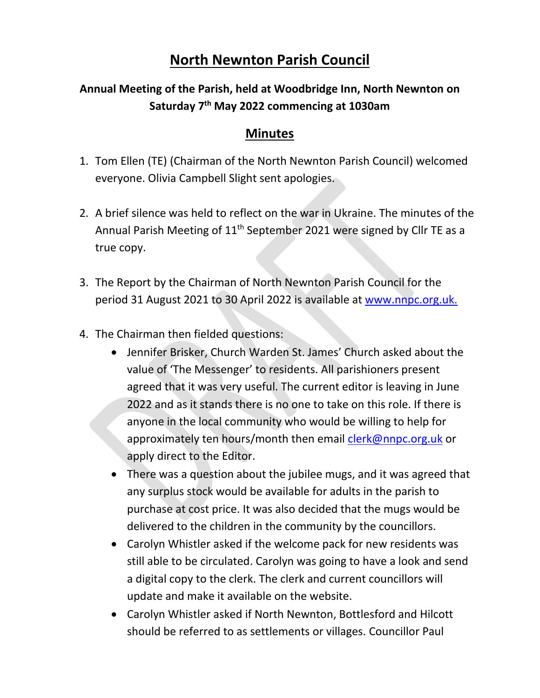## **North Newnton Parish Council**

## **Annual Meeting of the Parish, held at Woodbridge Inn, North Newnton on Saturday 7 th May 2022 commencing at 1030am**

## **Minutes**

- 1. Tom Ellen (TE) (Chairman of the North Newnton Parish Council) welcomed everyone. Olivia Campbell Slight sent apologies.
- 2. A brief silence was held to reflect on the war in Ukraine. The minutes of the Annual Parish Meeting of 11<sup>th</sup> September 2021 were signed by Cllr TE as a true copy.
- 3. The Report by the Chairman of North Newnton Parish Council for the period 31 August 2021 to 30 April 2022 is available at [www.nnpc.org.uk.](http://www.nnpc.org.uk/)
- 4. The Chairman then fielded questions:
	- Jennifer Brisker, Church Warden St. James' Church asked about the value of 'The Messenger' to residents. All parishioners present agreed that it was very useful. The current editor is leaving in June 2022 and as it stands there is no one to take on this role. If there is anyone in the local community who would be willing to help for approximately ten hours/month then email [clerk@nnpc.org.uk](mailto:clerk@nnpc.org.uk) or apply direct to the Editor.
	- There was a question about the jubilee mugs, and it was agreed that any surplus stock would be available for adults in the parish to purchase at cost price. It was also decided that the mugs would be delivered to the children in the community by the councillors.
	- Carolyn Whistler asked if the welcome pack for new residents was still able to be circulated. Carolyn was going to have a look and send a digital copy to the clerk. The clerk and current councillors will update and make it available on the website.
	- Carolyn Whistler asked if North Newnton, Bottlesford and Hilcott should be referred to as settlements or villages. Councillor Paul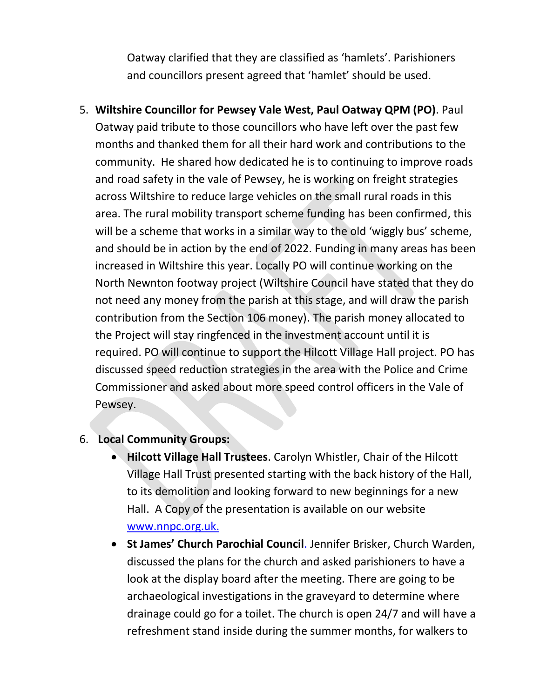Oatway clarified that they are classified as 'hamlets'. Parishioners and councillors present agreed that 'hamlet' should be used.

5. **Wiltshire Councillor for Pewsey Vale West, Paul Oatway QPM (PO)**. Paul Oatway paid tribute to those councillors who have left over the past few months and thanked them for all their hard work and contributions to the community. He shared how dedicated he is to continuing to improve roads and road safety in the vale of Pewsey, he is working on freight strategies across Wiltshire to reduce large vehicles on the small rural roads in this area. The rural mobility transport scheme funding has been confirmed, this will be a scheme that works in a similar way to the old 'wiggly bus' scheme, and should be in action by the end of 2022. Funding in many areas has been increased in Wiltshire this year. Locally PO will continue working on the North Newnton footway project (Wiltshire Council have stated that they do not need any money from the parish at this stage, and will draw the parish contribution from the Section 106 money). The parish money allocated to the Project will stay ringfenced in the investment account until it is required. PO will continue to support the Hilcott Village Hall project. PO has discussed speed reduction strategies in the area with the Police and Crime Commissioner and asked about more speed control officers in the Vale of Pewsey.

## 6. **Local Community Groups:**

- **Hilcott Village Hall Trustees**. Carolyn Whistler, Chair of the Hilcott Village Hall Trust presented starting with the back history of the Hall, to its demolition and looking forward to new beginnings for a new Hall. A Copy of the presentation is available on our website [www.nnpc.org.uk.](http://www.nnpc.org.uk/)
- **St James' Church Parochial Council**. Jennifer Brisker, Church Warden, discussed the plans for the church and asked parishioners to have a look at the display board after the meeting. There are going to be archaeological investigations in the graveyard to determine where drainage could go for a toilet. The church is open 24/7 and will have a refreshment stand inside during the summer months, for walkers to